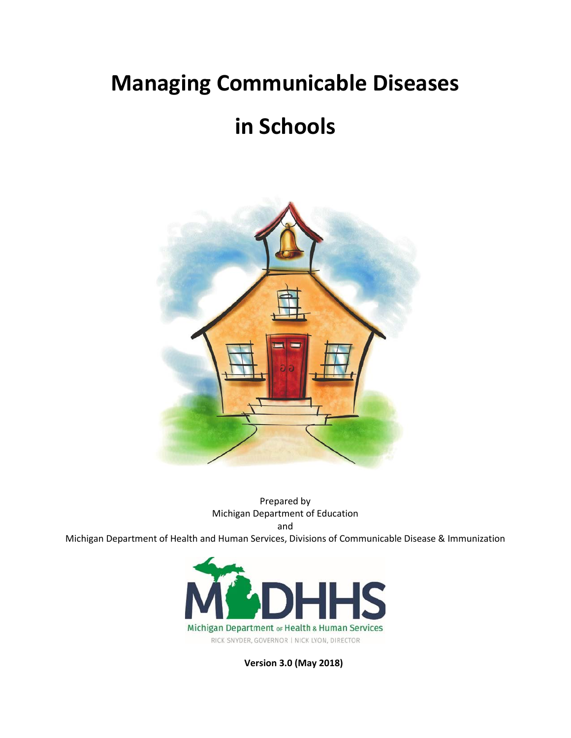# **Managing Communicable Diseases**

# **in Schools**



Prepared by Michigan Department of Education and

Michigan Department of Health and Human Services, Divisions of Communicable Disease & Immunization



**Version 3.0 (May 2018)**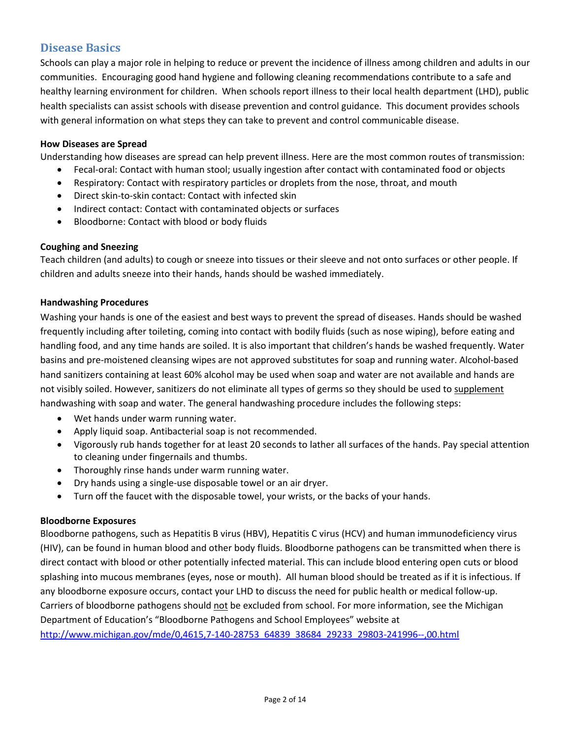# **Disease Basics**

Schools can play a major role in helping to reduce or prevent the incidence of illness among children and adults in our communities. Encouraging good hand hygiene and following cleaning recommendations contribute to a safe and healthy learning environment for children. When schools report illness to their local health department (LHD), public health specialists can assist schools with disease prevention and control guidance. This document provides schools with general information on what steps they can take to prevent and control communicable disease.

## **How Diseases are Spread**

Understanding how diseases are spread can help prevent illness. Here are the most common routes of transmission:

- Fecal-oral: Contact with human stool; usually ingestion after contact with contaminated food or objects
- Respiratory: Contact with respiratory particles or droplets from the nose, throat, and mouth
- Direct skin-to-skin contact: Contact with infected skin
- Indirect contact: Contact with contaminated objects or surfaces
- Bloodborne: Contact with blood or body fluids

#### **Coughing and Sneezing**

Teach children (and adults) to cough or sneeze into tissues or their sleeve and not onto surfaces or other people. If children and adults sneeze into their hands, hands should be washed immediately.

#### **Handwashing Procedures**

Washing your hands is one of the easiest and best ways to prevent the spread of diseases. Hands should be washed frequently including after toileting, coming into contact with bodily fluids (such as nose wiping), before eating and handling food, and any time hands are soiled. It is also important that children's hands be washed frequently. Water basins and pre-moistened cleansing wipes are not approved substitutes for soap and running water. Alcohol-based hand sanitizers containing at least 60% alcohol may be used when soap and water are not available and hands are not visibly soiled. However, sanitizers do not eliminate all types of germs so they should be used to supplement handwashing with soap and water. The general handwashing procedure includes the following steps:

- Wet hands under warm running water.
- Apply liquid soap. Antibacterial soap is not recommended.
- Vigorously rub hands together for at least 20 seconds to lather all surfaces of the hands. Pay special attention to cleaning under fingernails and thumbs.
- Thoroughly rinse hands under warm running water.
- Dry hands using a single-use disposable towel or an air dryer.
- Turn off the faucet with the disposable towel, your wrists, or the backs of your hands.

#### **Bloodborne Exposures**

Bloodborne pathogens, such as Hepatitis B virus (HBV), Hepatitis C virus (HCV) and human immunodeficiency virus (HIV), can be found in human blood and other body fluids. Bloodborne pathogens can be transmitted when there is direct contact with blood or other potentially infected material. This can include blood entering open cuts or blood splashing into mucous membranes (eyes, nose or mouth). All human blood should be treated as if it is infectious. If any bloodborne exposure occurs, contact your LHD to discuss the need for public health or medical follow-up. Carriers of bloodborne pathogens should not be excluded from school. For more information, see the Michigan Department of Education's "Bloodborne Pathogens and School Employees" website at [http://www.michigan.gov/mde/0,4615,7-140-28753\\_64839\\_38684\\_29233\\_29803-241996--,00.html](http://www.michigan.gov/mde/0,4615,7-140-28753_64839_38684_29233_29803-241996--,00.html)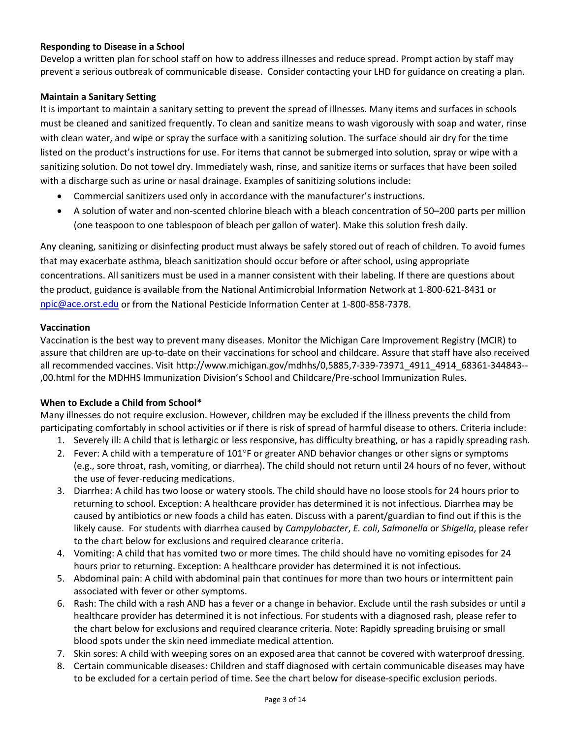## **Responding to Disease in a School**

Develop a written plan for school staff on how to address illnesses and reduce spread. Prompt action by staff may prevent a serious outbreak of communicable disease. Consider contacting your LHD for guidance on creating a plan.

#### **Maintain a Sanitary Setting**

It is important to maintain a sanitary setting to prevent the spread of illnesses. Many items and surfaces in schools must be cleaned and sanitized frequently. To clean and sanitize means to wash vigorously with soap and water, rinse with clean water, and wipe or spray the surface with a sanitizing solution. The surface should air dry for the time listed on the product's instructions for use. For items that cannot be submerged into solution, spray or wipe with a sanitizing solution. Do not towel dry. Immediately wash, rinse, and sanitize items or surfaces that have been soiled with a discharge such as urine or nasal drainage. Examples of sanitizing solutions include:

- Commercial sanitizers used only in accordance with the manufacturer's instructions.
- A solution of water and non-scented chlorine bleach with a bleach concentration of 50–200 parts per million (one teaspoon to one tablespoon of bleach per gallon of water). Make this solution fresh daily.

Any cleaning, sanitizing or disinfecting product must always be safely stored out of reach of children. To avoid fumes that may exacerbate asthma, bleach sanitization should occur before or after school, using appropriate concentrations. All sanitizers must be used in a manner consistent with their labeling. If there are questions about the product, guidance is available from the National Antimicrobial Information Network at 1-800-621-8431 or [npic@ace.orst.edu](mailto:npic@ace.orst.edu) or from the National Pesticide Information Center at 1-800-858-7378.

#### **Vaccination**

Vaccination is the best way to prevent many diseases. Monitor the Michigan Care Improvement Registry (MCIR) to assure that children are up-to-date on their vaccinations for school and childcare. Assure that staff have also received all recommended vaccines. Visit http://www.michigan.gov/mdhhs/0,5885,7-339-73971\_4911\_4914\_68361-344843-- ,00.html for the MDHHS Immunization Division's School and Childcare/Pre-school Immunization Rules.

#### **When to Exclude a Child from School\***

Many illnesses do not require exclusion. However, children may be excluded if the illness prevents the child from participating comfortably in school activities or if there is risk of spread of harmful disease to others. Criteria include:

- 1. Severely ill: A child that is lethargic or less responsive, has difficulty breathing, or has a rapidly spreading rash.
- 2. Fever: A child with a temperature of  $101^{\circ}$ F or greater AND behavior changes or other signs or symptoms (e.g., sore throat, rash, vomiting, or diarrhea). The child should not return until 24 hours of no fever, without the use of fever-reducing medications.
- 3. Diarrhea: A child has two loose or watery stools. The child should have no loose stools for 24 hours prior to returning to school. Exception: A healthcare provider has determined it is not infectious. Diarrhea may be caused by antibiotics or new foods a child has eaten. Discuss with a parent/guardian to find out if this is the likely cause. For students with diarrhea caused by *Campylobacter*, *E. coli*, *Salmonella* or *Shigella*, please refer to the chart below for exclusions and required clearance criteria.
- 4. Vomiting: A child that has vomited two or more times. The child should have no vomiting episodes for 24 hours prior to returning. Exception: A healthcare provider has determined it is not infectious.
- 5. Abdominal pain: A child with abdominal pain that continues for more than two hours or intermittent pain associated with fever or other symptoms.
- 6. Rash: The child with a rash AND has a fever or a change in behavior. Exclude until the rash subsides or until a healthcare provider has determined it is not infectious. For students with a diagnosed rash, please refer to the chart below for exclusions and required clearance criteria. Note: Rapidly spreading bruising or small blood spots under the skin need immediate medical attention.
- 7. Skin sores: A child with weeping sores on an exposed area that cannot be covered with waterproof dressing.
- 8. Certain communicable diseases: Children and staff diagnosed with certain communicable diseases may have to be excluded for a certain period of time. See the chart below for disease-specific exclusion periods.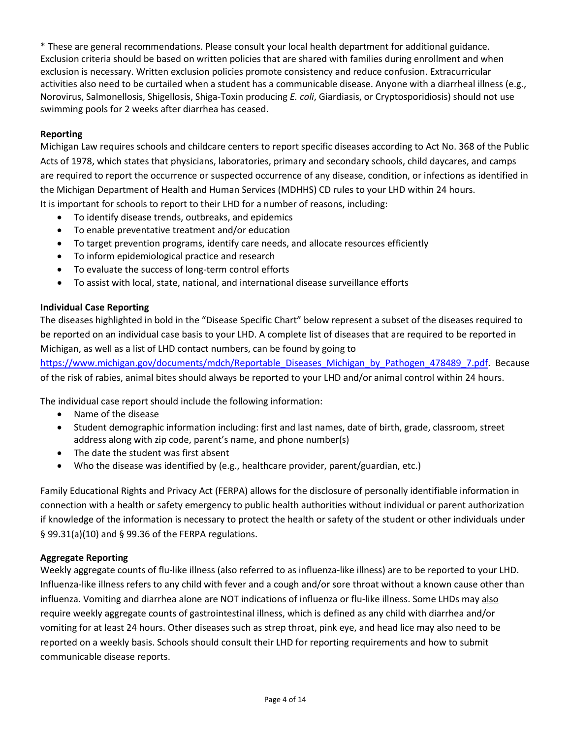\* These are general recommendations. Please consult your local health department for additional guidance. Exclusion criteria should be based on written policies that are shared with families during enrollment and when exclusion is necessary. Written exclusion policies promote consistency and reduce confusion. Extracurricular activities also need to be curtailed when a student has a communicable disease. Anyone with a diarrheal illness (e.g., Norovirus, Salmonellosis, Shigellosis, Shiga-Toxin producing *E. coli*, Giardiasis, or Cryptosporidiosis) should not use swimming pools for 2 weeks after diarrhea has ceased.

## **Reporting**

Michigan Law requires schools and childcare centers to report specific diseases according to Act No. 368 of the Public Acts of 1978, which states that physicians, laboratories, primary and secondary schools, child daycares, and camps are required to report the occurrence or suspected occurrence of any disease, condition, or infections as identified in the Michigan Department of Health and Human Services (MDHHS) CD rules to your LHD within 24 hours.

It is important for schools to report to their LHD for a number of reasons, including:

- To identify disease trends, outbreaks, and epidemics
- To enable preventative treatment and/or education
- To target prevention programs, identify care needs, and allocate resources efficiently
- To inform epidemiological practice and research
- To evaluate the success of long-term control efforts
- To assist with local, state, national, and international disease surveillance efforts

#### **Individual Case Reporting**

The diseases highlighted in bold in the "Disease Specific Chart" below represent a subset of the diseases required to be reported on an individual case basis to your LHD. A complete list of diseases that are required to be reported in Michigan, as well as a list of LHD contact numbers, can be found by going to

[https://www.michigan.gov/documents/mdch/Reportable\\_Diseases\\_Michigan\\_by\\_Pathogen\\_478489\\_7.pdf.](https://www.michigan.gov/documents/mdch/Reportable_Diseases_Michigan_by_Pathogen_478489_7.pdf) Because of the risk of rabies, animal bites should always be reported to your LHD and/or animal control within 24 hours.

The individual case report should include the following information:

- Name of the disease
- Student demographic information including: first and last names, date of birth, grade, classroom, street address along with zip code, parent's name, and phone number(s)
- The date the student was first absent
- Who the disease was identified by (e.g., healthcare provider, parent/guardian, etc.)

Family Educational Rights and Privacy Act (FERPA) allows for the disclosure of personally identifiable information in connection with a health or safety emergency to public health authorities without individual or parent authorization if knowledge of the information is necessary to protect the health or safety of the student or other individuals under § 99.31(a)(10) and § 99.36 of the FERPA regulations.

#### **Aggregate Reporting**

Weekly aggregate counts of flu-like illness (also referred to as influenza-like illness) are to be reported to your LHD. Influenza-like illness refers to any child with fever and a cough and/or sore throat without a known cause other than influenza. Vomiting and diarrhea alone are NOT indications of influenza or flu-like illness. Some LHDs may also require weekly aggregate counts of gastrointestinal illness, which is defined as any child with diarrhea and/or vomiting for at least 24 hours. Other diseases such as strep throat, pink eye, and head lice may also need to be reported on a weekly basis. Schools should consult their LHD for reporting requirements and how to submit communicable disease reports.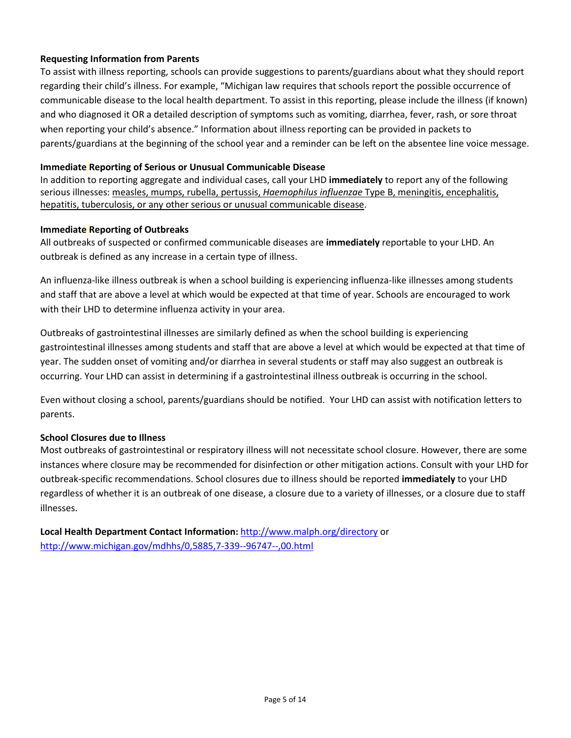# **Requesting Information from Parents**

To assist with illness reporting, schools can provide suggestions to parents/guardians about what they should report regarding their child's illness. For example, "Michigan law requires that schools report the possible occurrence of communicable disease to the local health department. To assist in this reporting, please include the illness (if known) and who diagnosed it OR a detailed description of symptoms such as vomiting, diarrhea, fever, rash, or sore throat when reporting your child's absence." Information about illness reporting can be provided in packets to parents/guardians at the beginning of the school year and a reminder can be left on the absentee line voice message.

#### **Immediate Reporting of Serious or Unusual Communicable Disease**

In addition to reporting aggregate and individual cases, call your LHD **immediately** to report any of the following serious illnesses: measles, mumps, rubella, pertussis, *Haemophilus influenzae* Type B, meningitis, encephalitis, hepatitis, tuberculosis, or any other serious or unusual communicable disease.

## **Immediate Reporting of Outbreaks**

All outbreaks of suspected or confirmed communicable diseases are **immediately** reportable to your LHD. An outbreak is defined as any increase in a certain type of illness.

An influenza-like illness outbreak is when a school building is experiencing influenza-like illnesses among students and staff that are above a level at which would be expected at that time of year. Schools are encouraged to work with their LHD to determine influenza activity in your area.

Outbreaks of gastrointestinal illnesses are similarly defined as when the school building is experiencing gastrointestinal illnesses among students and staff that are above a level at which would be expected at that time of year. The sudden onset of vomiting and/or diarrhea in several students or staff may also suggest an outbreak is occurring. Your LHD can assist in determining if a gastrointestinal illness outbreak is occurring in the school.

Even without closing a school, parents/guardians should be notified. Your LHD can assist with notification letters to parents.

# **School Closures due to Illness**

Most outbreaks of gastrointestinal or respiratory illness will not necessitate school closure. However, there are some instances where closure may be recommended for disinfection or other mitigation actions. Consult with your LHD for outbreak-specific recommendations. School closures due to illness should be reported **immediately** to your LHD regardless of whether it is an outbreak of one disease, a closure due to a variety of illnesses, or a closure due to staff illnesses.

**Local Health Department Contact Information:** <http://www.malph.org/directory> or <http://www.michigan.gov/mdhhs/0,5885,7-339--96747--,00.html>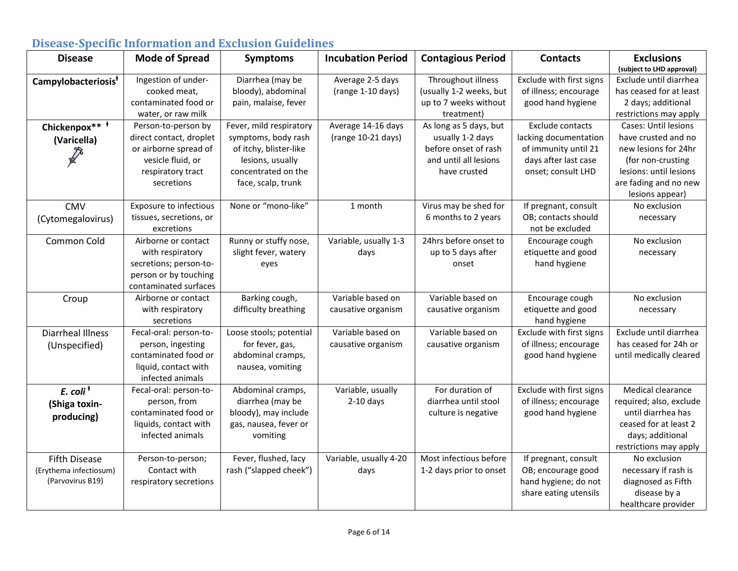| <b>Disease</b>                            | <b>Mode of Spread</b>   | nocuoc opcenie mitormulton unu biteruolon uuruchine<br><b>Symptoms</b> | <b>Incubation Period</b> | <b>Contagious Period</b> | <b>Contacts</b>          | <b>Exclusions</b>    |
|-------------------------------------------|-------------------------|------------------------------------------------------------------------|--------------------------|--------------------------|--------------------------|----------------------|
|                                           |                         |                                                                        |                          |                          |                          | (subject to LHD appr |
| Campylobacteriosis <sup>†</sup>           | Ingestion of under-     | Diarrhea (may be                                                       | Average 2-5 days         | Throughout illness       | Exclude with first signs | Exclude until diar   |
|                                           | cooked meat,            | bloody), abdominal                                                     | (range 1-10 days)        | (usually 1-2 weeks, but  | of illness; encourage    | has ceased for at    |
|                                           | contaminated food or    | pain, malaise, fever                                                   |                          | up to 7 weeks without    | good hand hygiene        | 2 days; additior     |
|                                           | water, or raw milk      |                                                                        |                          | treatment)               |                          | restrictions may a   |
| Chickenpox** <sup>+</sup>                 | Person-to-person by     | Fever, mild respiratory                                                | Average 14-16 days       | As long as 5 days, but   | <b>Exclude contacts</b>  | Cases: Until lesi    |
| (Varicella)                               | direct contact, droplet | symptoms, body rash                                                    | (range 10-21 days)       | usually 1-2 days         | lacking documentation    | have crusted and     |
|                                           | or airborne spread of   | of itchy, blister-like                                                 |                          | before onset of rash     | of immunity until 21     | new lesions for 2    |
|                                           | vesicle fluid, or       | lesions, usually                                                       |                          | and until all lesions    | days after last case     | (for non-crusti      |
|                                           | respiratory tract       | concentrated on the                                                    |                          | have crusted             | onset; consult LHD       | lesions: until lesi  |
|                                           | secretions              | face, scalp, trunk                                                     |                          |                          |                          | are fading and no    |
|                                           |                         |                                                                        |                          |                          |                          | lesions appea        |
| <b>CMV</b>                                | Exposure to infectious  | None or "mono-like"                                                    | 1 month                  | Virus may be shed for    | If pregnant, consult     | No exclusion         |
| (Cytomegalovirus)                         | tissues, secretions, or |                                                                        |                          | 6 months to 2 years      | OB; contacts should      | necessary            |
|                                           | excretions              |                                                                        |                          |                          | not be excluded          |                      |
| Common Cold                               | Airborne or contact     | Runny or stuffy nose,                                                  | Variable, usually 1-3    | 24hrs before onset to    | Encourage cough          | No exclusion         |
|                                           | with respiratory        | slight fever, watery                                                   | days                     | up to 5 days after       | etiquette and good       | necessary            |
|                                           | secretions; person-to-  | eyes                                                                   |                          | onset                    | hand hygiene             |                      |
|                                           | person or by touching   |                                                                        |                          |                          |                          |                      |
|                                           | contaminated surfaces   |                                                                        |                          |                          |                          |                      |
| Croup                                     | Airborne or contact     | Barking cough,                                                         | Variable based on        | Variable based on        | Encourage cough          | No exclusion         |
|                                           | with respiratory        | difficulty breathing                                                   | causative organism       | causative organism       | etiquette and good       | necessary            |
|                                           | secretions              |                                                                        |                          |                          | hand hygiene             |                      |
| <b>Diarrheal Illness</b>                  | Fecal-oral: person-to-  | Loose stools; potential                                                | Variable based on        | Variable based on        | Exclude with first signs | Exclude until diar   |
| (Unspecified)                             | person, ingesting       | for fever, gas,                                                        | causative organism       | causative organism       | of illness; encourage    | has ceased for 24    |
|                                           | contaminated food or    | abdominal cramps,                                                      |                          |                          | good hand hygiene        | until medically cle  |
|                                           | liquid, contact with    | nausea, vomiting                                                       |                          |                          |                          |                      |
|                                           | infected animals        |                                                                        |                          |                          |                          |                      |
| $E.$ coli <sup><math>\dagger</math></sup> | Fecal-oral: person-to-  | Abdominal cramps,                                                      | Variable, usually        | For duration of          | Exclude with first signs | Medical clearar      |
| (Shiga toxin-                             | person, from            | diarrhea (may be                                                       | $2-10$ days              | diarrhea until stool     | of illness; encourage    | required; also, ex   |

bloody), may include gas, nausea, fever or vomiting

Fever, flushed, lacy rash ("slapped cheek") **(subject to LHD approval)**

Exclude until diarrhea has ceased for at least 2 days; additional restrictions may apply

Cases: Until lesions have crusted and no new lesions for 24hr (for non-crusting lesions: until lesions are fading and no new lesions appear)

Exclude until diarrhea has ceased for 24h or until medically cleared

Medical clearance required; also, exclude until diarrhea has ceased for at least 2 days; additional restrictions may apply

No exclusion necessary if rash is diagnosed as Fifth disease by a healthcare provider

# **Disease-Specific Information and Exclusion Guidelines**

contaminated food or liquids, contact with infected animals

Person-to-person; Contact with respiratory secretions

**producing)**

Fifth Disease (Erythema infectiosum) (Parvovirus B19)

Variable, usually 4-20 days

culture is negative

Most infectious before 1-2 days prior to onset good hand hygiene

If pregnant, consult OB; encourage good hand hygiene; do not share eating utensils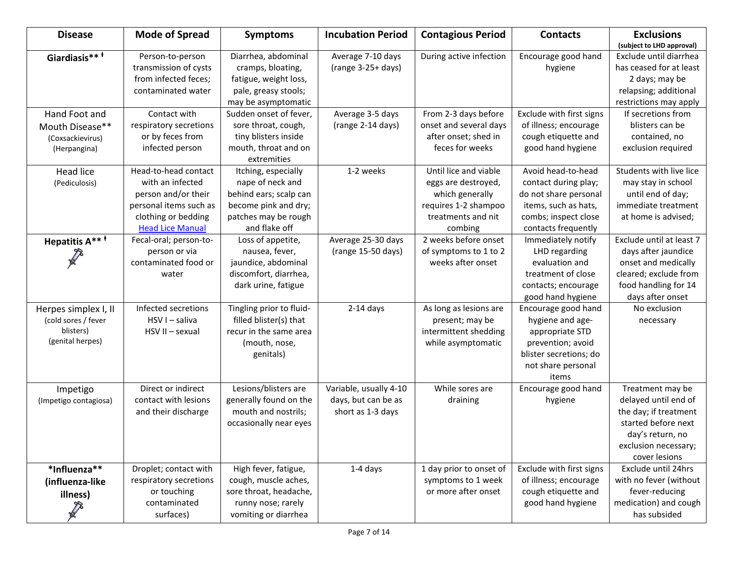| <b>Disease</b>                                                               | <b>Mode of Spread</b>                                                                                                                       | <b>Symptoms</b>                                                                                                                    | <b>Incubation Period</b>                                           | <b>Contagious Period</b>                                                                                                 | <b>Contacts</b>                                                                                                                            | <b>Exclusions</b><br>(subject to LHD approval)                                                                                                        |
|------------------------------------------------------------------------------|---------------------------------------------------------------------------------------------------------------------------------------------|------------------------------------------------------------------------------------------------------------------------------------|--------------------------------------------------------------------|--------------------------------------------------------------------------------------------------------------------------|--------------------------------------------------------------------------------------------------------------------------------------------|-------------------------------------------------------------------------------------------------------------------------------------------------------|
| Giardiasis***                                                                | Person-to-person<br>transmission of cysts<br>from infected feces;<br>contaminated water                                                     | Diarrhea, abdominal<br>cramps, bloating,<br>fatigue, weight loss,<br>pale, greasy stools;<br>may be asymptomatic                   | Average 7-10 days<br>(range 3-25+ days)                            | During active infection                                                                                                  | Encourage good hand<br>hygiene                                                                                                             | Exclude until diarrhea<br>has ceased for at least<br>2 days; may be<br>relapsing; additional<br>restrictions may apply                                |
| Hand Foot and<br>Mouth Disease**<br>(Coxsackievirus)<br>(Herpangina)         | Contact with<br>respiratory secretions<br>or by feces from<br>infected person                                                               | Sudden onset of fever,<br>sore throat, cough,<br>tiny blisters inside<br>mouth, throat and on<br>extremities                       | Average 3-5 days<br>(range 2-14 days)                              | From 2-3 days before<br>onset and several days<br>after onset; shed in<br>feces for weeks                                | Exclude with first signs<br>of illness; encourage<br>cough etiquette and<br>good hand hygiene                                              | If secretions from<br>blisters can be<br>contained, no<br>exclusion required                                                                          |
| <b>Head lice</b><br>(Pediculosis)                                            | Head-to-head contact<br>with an infected<br>person and/or their<br>personal items such as<br>clothing or bedding<br><b>Head Lice Manual</b> | Itching, especially<br>nape of neck and<br>behind ears; scalp can<br>become pink and dry;<br>patches may be rough<br>and flake off | 1-2 weeks                                                          | Until lice and viable<br>eggs are destroyed,<br>which generally<br>requires 1-2 shampoo<br>treatments and nit<br>combing | Avoid head-to-head<br>contact during play;<br>do not share personal<br>items, such as hats,<br>combs; inspect close<br>contacts frequently | Students with live lice<br>may stay in school<br>until end of day;<br>immediate treatment<br>at home is advised;                                      |
| Hepatitis A** <sup>*</sup><br>$\mathbb{Z}$                                   | Fecal-oral; person-to-<br>person or via<br>contaminated food or<br>water                                                                    | Loss of appetite,<br>nausea, fever,<br>jaundice, abdominal<br>discomfort, diarrhea,<br>dark urine, fatigue                         | Average 25-30 days<br>(range 15-50 days)                           | 2 weeks before onset<br>of symptoms to 1 to 2<br>weeks after onset                                                       | Immediately notify<br>LHD regarding<br>evaluation and<br>treatment of close<br>contacts; encourage<br>good hand hygiene                    | Exclude until at least 7<br>days after jaundice<br>onset and medically<br>cleared; exclude from<br>food handling for 14<br>days after onset           |
| Herpes simplex I, II<br>(cold sores / fever<br>blisters)<br>(genital herpes) | Infected secretions<br>HSV I - saliva<br>HSV II - sexual                                                                                    | Tingling prior to fluid-<br>filled blister(s) that<br>recur in the same area<br>(mouth, nose,<br>genitals)                         | $2-14$ days                                                        | As long as lesions are<br>present; may be<br>intermittent shedding<br>while asymptomatic                                 | Encourage good hand<br>hygiene and age-<br>appropriate STD<br>prevention; avoid<br>blister secretions; do<br>not share personal<br>items   | No exclusion<br>necessary                                                                                                                             |
| Impetigo<br>(Impetigo contagiosa)                                            | Direct or indirect<br>contact with lesions<br>and their discharge                                                                           | Lesions/blisters are<br>generally found on the<br>mouth and nostrils;<br>occasionally near eyes                                    | Variable, usually 4-10<br>days, but can be as<br>short as 1-3 days | While sores are<br>draining                                                                                              | Encourage good hand<br>hygiene                                                                                                             | Treatment may be<br>delayed until end of<br>the day; if treatment<br>started before next<br>day's return, no<br>exclusion necessary;<br>cover lesions |
| *Influenza**<br>(influenza-like<br>illness)<br>$\mathbb{Z}^2$                | Droplet; contact with<br>respiratory secretions<br>or touching<br>contaminated<br>surfaces)                                                 | High fever, fatigue,<br>cough, muscle aches,<br>sore throat, headache,<br>runny nose; rarely<br>vomiting or diarrhea               | 1-4 days                                                           | 1 day prior to onset of<br>symptoms to 1 week<br>or more after onset                                                     | Exclude with first signs<br>of illness; encourage<br>cough etiquette and<br>good hand hygiene                                              | Exclude until 24hrs<br>with no fever (without<br>fever-reducing<br>medication) and cough<br>has subsided                                              |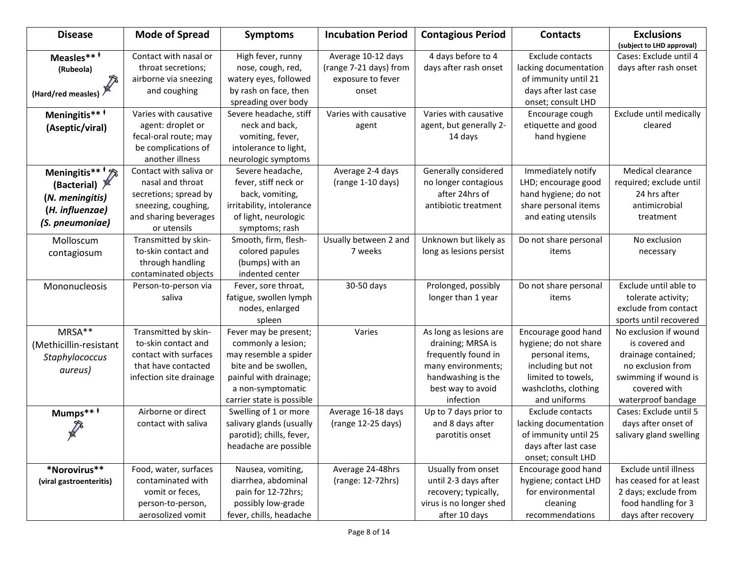| <b>Disease</b>                                                                                        | <b>Mode of Spread</b>                                                                                                              | <b>Symptoms</b>                                                                                                                                                          | <b>Incubation Period</b>                                                   | <b>Contagious Period</b>                                                                                                                         | <b>Contacts</b>                                                                                                                                    | <b>Exclusions</b><br>(subject to LHD approval)                                                                                                    |
|-------------------------------------------------------------------------------------------------------|------------------------------------------------------------------------------------------------------------------------------------|--------------------------------------------------------------------------------------------------------------------------------------------------------------------------|----------------------------------------------------------------------------|--------------------------------------------------------------------------------------------------------------------------------------------------|----------------------------------------------------------------------------------------------------------------------------------------------------|---------------------------------------------------------------------------------------------------------------------------------------------------|
| Measles***<br>(Rubeola)<br>(Hard/red measles) $\sqrt[3]{ }$                                           | Contact with nasal or<br>throat secretions;<br>airborne via sneezing<br>and coughing                                               | High fever, runny<br>nose, cough, red,<br>watery eyes, followed<br>by rash on face, then                                                                                 | Average 10-12 days<br>(range 7-21 days) from<br>exposure to fever<br>onset | 4 days before to 4<br>days after rash onset                                                                                                      | <b>Exclude contacts</b><br>lacking documentation<br>of immunity until 21<br>days after last case                                                   | Cases: Exclude until 4<br>days after rash onset                                                                                                   |
| Meningitis** <sup>#</sup><br>(Aseptic/viral)                                                          | Varies with causative<br>agent: droplet or<br>fecal-oral route; may<br>be complications of<br>another illness                      | spreading over body<br>Severe headache, stiff<br>neck and back,<br>vomiting, fever,<br>intolerance to light,                                                             | Varies with causative<br>agent                                             | Varies with causative<br>agent, but generally 2-<br>14 days                                                                                      | onset; consult LHD<br>Encourage cough<br>etiquette and good<br>hand hygiene                                                                        | Exclude until medically<br>cleared                                                                                                                |
| Meningitis** <sup>†</sup> 2<br>(Bacterial) X<br>(N. meningitis)<br>(H. influenzae)<br>(S. pneumoniae) | Contact with saliva or<br>nasal and throat<br>secretions; spread by<br>sneezing, coughing,<br>and sharing beverages<br>or utensils | neurologic symptoms<br>Severe headache,<br>fever, stiff neck or<br>back, vomiting,<br>irritability, intolerance<br>of light, neurologic<br>symptoms; rash                | Average 2-4 days<br>(range 1-10 days)                                      | Generally considered<br>no longer contagious<br>after 24hrs of<br>antibiotic treatment                                                           | Immediately notify<br>LHD; encourage good<br>hand hygiene; do not<br>share personal items<br>and eating utensils                                   | Medical clearance<br>required; exclude until<br>24 hrs after<br>antimicrobial<br>treatment                                                        |
| Molloscum<br>contagiosum                                                                              | Transmitted by skin-<br>to-skin contact and<br>through handling<br>contaminated objects                                            | Smooth, firm, flesh-<br>colored papules<br>(bumps) with an<br>indented center                                                                                            | Usually between 2 and<br>7 weeks                                           | Unknown but likely as<br>long as lesions persist                                                                                                 | Do not share personal<br>items                                                                                                                     | No exclusion<br>necessary                                                                                                                         |
| Mononucleosis                                                                                         | Person-to-person via<br>saliva                                                                                                     | Fever, sore throat,<br>fatigue, swollen lymph<br>nodes, enlarged<br>spleen                                                                                               | 30-50 days                                                                 | Prolonged, possibly<br>longer than 1 year                                                                                                        | Do not share personal<br>items                                                                                                                     | Exclude until able to<br>tolerate activity;<br>exclude from contact<br>sports until recovered                                                     |
| MRSA**<br>(Methicillin-resistant<br>Staphylococcus<br>aureus)                                         | Transmitted by skin-<br>to-skin contact and<br>contact with surfaces<br>that have contacted<br>infection site drainage             | Fever may be present;<br>commonly a lesion;<br>may resemble a spider<br>bite and be swollen,<br>painful with drainage;<br>a non-symptomatic<br>carrier state is possible | Varies                                                                     | As long as lesions are<br>draining; MRSA is<br>frequently found in<br>many environments;<br>handwashing is the<br>best way to avoid<br>infection | Encourage good hand<br>hygiene; do not share<br>personal items,<br>including but not<br>limited to towels,<br>washcloths, clothing<br>and uniforms | No exclusion if wound<br>is covered and<br>drainage contained;<br>no exclusion from<br>swimming if wound is<br>covered with<br>waterproof bandage |
| Mumps***                                                                                              | Airborne or direct<br>contact with saliva                                                                                          | Swelling of 1 or more<br>salivary glands (usually<br>parotid); chills, fever,<br>headache are possible                                                                   | Average 16-18 days<br>(range 12-25 days)                                   | Up to 7 days prior to<br>and 8 days after<br>parotitis onset                                                                                     | Exclude contacts<br>lacking documentation<br>of immunity until 25<br>days after last case<br>onset; consult LHD                                    | Cases: Exclude until 5<br>days after onset of<br>salivary gland swelling                                                                          |
| *Norovirus**<br>(viral gastroenteritis)                                                               | Food, water, surfaces<br>contaminated with<br>vomit or feces,<br>person-to-person,<br>aerosolized vomit                            | Nausea, vomiting,<br>diarrhea, abdominal<br>pain for 12-72hrs;<br>possibly low-grade<br>fever, chills, headache                                                          | Average 24-48hrs<br>(range: 12-72hrs)                                      | Usually from onset<br>until 2-3 days after<br>recovery; typically,<br>virus is no longer shed<br>after 10 days                                   | Encourage good hand<br>hygiene; contact LHD<br>for environmental<br>cleaning<br>recommendations                                                    | Exclude until illness<br>has ceased for at least<br>2 days; exclude from<br>food handling for 3<br>days after recovery                            |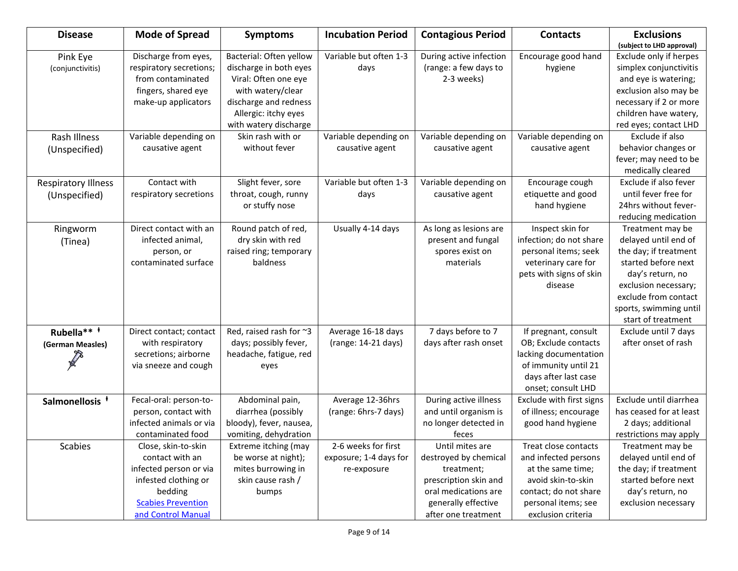| <b>Disease</b>                              | <b>Mode of Spread</b>                                                                                                                                  | <b>Symptoms</b>                                                                                                                                                          | <b>Incubation Period</b>                                     | <b>Contagious Period</b>                                                                                                                              | <b>Contacts</b>                                                                                                                                               | <b>Exclusions</b><br>(subject to LHD approval)                                                                                                                                                               |
|---------------------------------------------|--------------------------------------------------------------------------------------------------------------------------------------------------------|--------------------------------------------------------------------------------------------------------------------------------------------------------------------------|--------------------------------------------------------------|-------------------------------------------------------------------------------------------------------------------------------------------------------|---------------------------------------------------------------------------------------------------------------------------------------------------------------|--------------------------------------------------------------------------------------------------------------------------------------------------------------------------------------------------------------|
| Pink Eye<br>(conjunctivitis)                | Discharge from eyes,<br>respiratory secretions;<br>from contaminated<br>fingers, shared eye<br>make-up applicators                                     | Bacterial: Often yellow<br>discharge in both eyes<br>Viral: Often one eye<br>with watery/clear<br>discharge and redness<br>Allergic: itchy eyes<br>with watery discharge | Variable but often 1-3<br>days                               | During active infection<br>(range: a few days to<br>2-3 weeks)                                                                                        | Encourage good hand<br>hygiene                                                                                                                                | Exclude only if herpes<br>simplex conjunctivitis<br>and eye is watering;<br>exclusion also may be<br>necessary if 2 or more<br>children have watery,<br>red eyes; contact LHD                                |
| Rash Illness<br>(Unspecified)               | Variable depending on<br>causative agent                                                                                                               | Skin rash with or<br>without fever                                                                                                                                       | Variable depending on<br>causative agent                     | Variable depending on<br>causative agent                                                                                                              | Variable depending on<br>causative agent                                                                                                                      | Exclude if also<br>behavior changes or<br>fever; may need to be<br>medically cleared                                                                                                                         |
| <b>Respiratory Illness</b><br>(Unspecified) | Contact with<br>respiratory secretions                                                                                                                 | Slight fever, sore<br>throat, cough, runny<br>or stuffy nose                                                                                                             | Variable but often 1-3<br>days                               | Variable depending on<br>causative agent                                                                                                              | Encourage cough<br>etiquette and good<br>hand hygiene                                                                                                         | Exclude if also fever<br>until fever free for<br>24hrs without fever-<br>reducing medication                                                                                                                 |
| Ringworm<br>(Tinea)                         | Direct contact with an<br>infected animal,<br>person, or<br>contaminated surface                                                                       | Round patch of red,<br>dry skin with red<br>raised ring; temporary<br>baldness                                                                                           | Usually 4-14 days                                            | As long as lesions are<br>present and fungal<br>spores exist on<br>materials                                                                          | Inspect skin for<br>infection; do not share<br>personal items; seek<br>veterinary care for<br>pets with signs of skin<br>disease                              | Treatment may be<br>delayed until end of<br>the day; if treatment<br>started before next<br>day's return, no<br>exclusion necessary;<br>exclude from contact<br>sports, swimming until<br>start of treatment |
| Rubella** <sup>+</sup><br>(German Measles)  | Direct contact; contact<br>with respiratory<br>secretions; airborne<br>via sneeze and cough                                                            | Red, raised rash for ~3<br>days; possibly fever,<br>headache, fatigue, red<br>eyes                                                                                       | Average 16-18 days<br>(range: 14-21 days)                    | 7 days before to 7<br>days after rash onset                                                                                                           | If pregnant, consult<br>OB; Exclude contacts<br>lacking documentation<br>of immunity until 21<br>days after last case<br>onset; consult LHD                   | Exclude until 7 days<br>after onset of rash                                                                                                                                                                  |
| Salmonellosis <sup>†</sup>                  | Fecal-oral: person-to-<br>person, contact with<br>infected animals or via<br>contaminated food                                                         | Abdominal pain,<br>diarrhea (possibly<br>bloody), fever, nausea,<br>vomiting, dehydration                                                                                | Average 12-36hrs<br>(range: 6hrs-7 days)                     | During active illness<br>and until organism is<br>no longer detected in<br>feces                                                                      | Exclude with first signs<br>of illness; encourage<br>good hand hygiene                                                                                        | Exclude until diarrhea<br>has ceased for at least<br>2 days; additional<br>restrictions may apply                                                                                                            |
| <b>Scabies</b>                              | Close, skin-to-skin<br>contact with an<br>infected person or via<br>infested clothing or<br>bedding<br><b>Scabies Prevention</b><br>and Control Manual | Extreme itching (may<br>be worse at night);<br>mites burrowing in<br>skin cause rash /<br>bumps                                                                          | 2-6 weeks for first<br>exposure; 1-4 days for<br>re-exposure | Until mites are<br>destroyed by chemical<br>treatment;<br>prescription skin and<br>oral medications are<br>generally effective<br>after one treatment | Treat close contacts<br>and infected persons<br>at the same time;<br>avoid skin-to-skin<br>contact; do not share<br>personal items; see<br>exclusion criteria | Treatment may be<br>delayed until end of<br>the day; if treatment<br>started before next<br>day's return, no<br>exclusion necessary                                                                          |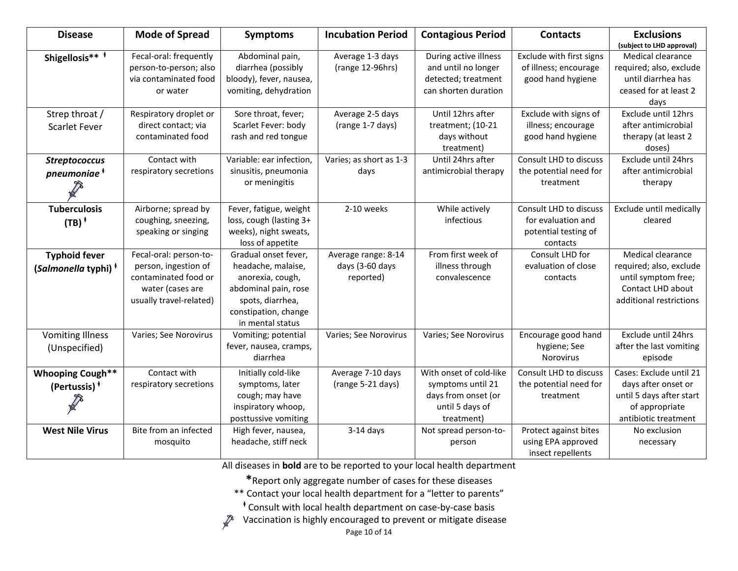| <b>Disease</b>                                          | <b>Mode of Spread</b>                                                                                                 | <b>Symptoms</b>                                                                                                                                        | <b>Incubation Period</b>                            | <b>Contagious Period</b>                                                                             | <b>Contacts</b>                                                                         | <b>Exclusions</b><br>(subject to LHD approval)                                                                       |
|---------------------------------------------------------|-----------------------------------------------------------------------------------------------------------------------|--------------------------------------------------------------------------------------------------------------------------------------------------------|-----------------------------------------------------|------------------------------------------------------------------------------------------------------|-----------------------------------------------------------------------------------------|----------------------------------------------------------------------------------------------------------------------|
| Shigellosis** <sup>+</sup>                              | Fecal-oral: frequently<br>person-to-person; also<br>via contaminated food<br>or water                                 | Abdominal pain,<br>diarrhea (possibly<br>bloody), fever, nausea,<br>vomiting, dehydration                                                              | Average 1-3 days<br>(range 12-96hrs)                | During active illness<br>and until no longer<br>detected; treatment<br>can shorten duration          | Exclude with first signs<br>of illness; encourage<br>good hand hygiene                  | Medical clearance<br>required; also, exclude<br>until diarrhea has<br>ceased for at least 2<br>days                  |
| Strep throat /<br><b>Scarlet Fever</b>                  | Respiratory droplet or<br>direct contact; via<br>contaminated food                                                    | Sore throat, fever;<br>Scarlet Fever: body<br>rash and red tongue                                                                                      | Average 2-5 days<br>(range 1-7 days)                | Until 12hrs after<br>treatment; (10-21<br>days without<br>treatment)                                 | Exclude with signs of<br>illness; encourage<br>good hand hygiene                        | Exclude until 12hrs<br>after antimicrobial<br>therapy (at least 2<br>doses)                                          |
| <b>Streptococcus</b><br>pneumoniae <sup>†</sup>         | Contact with<br>respiratory secretions                                                                                | Variable: ear infection,<br>sinusitis, pneumonia<br>or meningitis                                                                                      | Varies; as short as 1-3<br>days                     | Until 24hrs after<br>antimicrobial therapy                                                           | Consult LHD to discuss<br>the potential need for<br>treatment                           | Exclude until 24hrs<br>after antimicrobial<br>therapy                                                                |
| <b>Tuberculosis</b><br>$(TB)$ <sup>+</sup>              | Airborne; spread by<br>coughing, sneezing,<br>speaking or singing                                                     | Fever, fatigue, weight<br>loss, cough (lasting 3+<br>weeks), night sweats,<br>loss of appetite                                                         | 2-10 weeks                                          | While actively<br>infectious                                                                         | <b>Consult LHD to discuss</b><br>for evaluation and<br>potential testing of<br>contacts | Exclude until medically<br>cleared                                                                                   |
| <b>Typhoid fever</b><br>(Salmonella typhi) <sup>†</sup> | Fecal-oral: person-to-<br>person, ingestion of<br>contaminated food or<br>water (cases are<br>usually travel-related) | Gradual onset fever,<br>headache, malaise,<br>anorexia, cough,<br>abdominal pain, rose<br>spots, diarrhea,<br>constipation, change<br>in mental status | Average range: 8-14<br>days (3-60 days<br>reported) | From first week of<br>illness through<br>convalescence                                               | Consult LHD for<br>evaluation of close<br>contacts                                      | Medical clearance<br>required; also, exclude<br>until symptom free;<br>Contact LHD about<br>additional restrictions  |
| <b>Vomiting Illness</b><br>(Unspecified)                | Varies; See Norovirus                                                                                                 | Vomiting; potential<br>fever, nausea, cramps,<br>diarrhea                                                                                              | Varies; See Norovirus                               | Varies; See Norovirus                                                                                | Encourage good hand<br>hygiene; See<br><b>Norovirus</b>                                 | Exclude until 24hrs<br>after the last vomiting<br>episode                                                            |
| <b>Whooping Cough**</b><br>(Pertussis) <sup>†</sup>     | Contact with<br>respiratory secretions                                                                                | Initially cold-like<br>symptoms, later<br>cough; may have<br>inspiratory whoop,<br>posttussive vomiting                                                | Average 7-10 days<br>(range 5-21 days)              | With onset of cold-like<br>symptoms until 21<br>days from onset (or<br>until 5 days of<br>treatment) | Consult LHD to discuss<br>the potential need for<br>treatment                           | Cases: Exclude until 21<br>days after onset or<br>until 5 days after start<br>of appropriate<br>antibiotic treatment |
| <b>West Nile Virus</b>                                  | Bite from an infected<br>mosquito                                                                                     | High fever, nausea,<br>headache, stiff neck                                                                                                            | $3-14$ days                                         | Not spread person-to-<br>person                                                                      | Protect against bites<br>using EPA approved<br>insect repellents                        | No exclusion<br>necessary                                                                                            |

All diseases in **bold** are to be reported to your local health department

**\***Report only aggregate number of cases for these diseases

\*\* Contact your local health department for a "letter to parents"

**<sup>ⱡ</sup>** Consult with local health department on case-by-case basis

 $\mathcal{F}$  Vaccination is highly encouraged to prevent or mitigate disease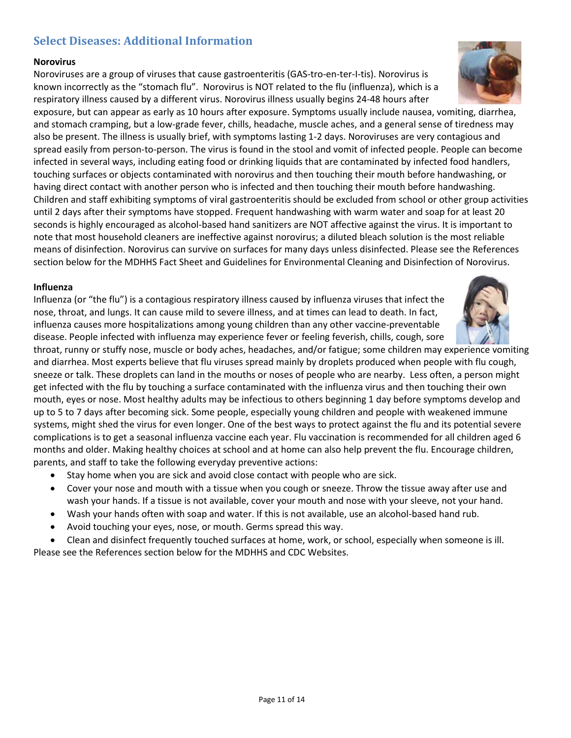# **Select Diseases: Additional Information**

#### **Norovirus**

Noroviruses are a group of viruses that cause gastroenteritis (GAS-tro-en-ter-I-tis). Norovirus is known incorrectly as the "stomach flu". Norovirus is NOT related to the flu (influenza), which is a respiratory illness caused by a different virus. Norovirus illness usually begins 24-48 hours after

exposure, but can appear as early as 10 hours after exposure. Symptoms usually include nausea, vomiting, diarrhea, and stomach cramping, but a low-grade fever, chills, headache, muscle aches, and a general sense of tiredness may also be present. The illness is usually brief, with symptoms lasting 1-2 days. Noroviruses are very contagious and spread easily from person-to-person. The virus is found in the stool and vomit of infected people. People can become infected in several ways, including eating food or drinking liquids that are contaminated by infected food handlers, touching surfaces or objects contaminated with norovirus and then touching their mouth before handwashing, or having direct contact with another person who is infected and then touching their mouth before handwashing. Children and staff exhibiting symptoms of viral gastroenteritis should be excluded from school or other group activities until 2 days after their symptoms have stopped. Frequent handwashing with warm water and soap for at least 20 seconds is highly encouraged as alcohol-based hand sanitizers are NOT affective against the virus. It is important to note that most household cleaners are ineffective against norovirus; a diluted bleach solution is the most reliable means of disinfection. Norovirus can survive on surfaces for many days unless disinfected. Please see the References section below for the MDHHS Fact Sheet and Guidelines for Environmental Cleaning and Disinfection of Norovirus.

#### **Influenza**

Influenza (or "the flu") is a contagious respiratory illness caused by influenza viruses that infect the nose, throat, and lungs. It can cause mild to severe illness, and at times can lead to death. In fact, influenza causes more hospitalizations among young children than any other vaccine-preventable disease. People infected with influenza may experience fever or feeling feverish, chills, cough, sore

throat, runny or stuffy nose, muscle or body aches, headaches, and/or fatigue; some children may experience vomiting and diarrhea. Most experts believe that flu viruses spread mainly by droplets produced when people with flu cough, sneeze or talk. These droplets can land in the mouths or noses of people who are nearby. Less often, a person might get infected with the flu by touching a surface contaminated with the influenza virus and then touching their own mouth, eyes or nose. Most healthy adults may be infectious to others beginning 1 day before symptoms develop and up to 5 to 7 days after becoming sick. Some people, especially young children and people with weakened immune systems, might shed the virus for even longer. One of the best ways to protect against the flu and its potential severe complications is to get a seasonal influenza vaccine each year. Flu vaccination is recommended for all children aged 6 months and older. Making healthy choices at school and at home can also help prevent the flu. Encourage children, parents, and staff to take the following everyday preventive actions:

- Stay home when you are sick and avoid close contact with people who are sick.
- Cover your nose and mouth with a tissue when you cough or sneeze. Throw the tissue away after use and wash your hands. If a tissue is not available, cover your mouth and nose with your sleeve, not your hand.
- Wash your hands often with soap and water. If this is not available, use an alcohol-based hand rub.
- Avoid touching your eyes, nose, or mouth. Germs spread this way.

• Clean and disinfect frequently touched surfaces at home, work, or school, especially when someone is ill. Please see the References section below for the MDHHS and CDC Websites.



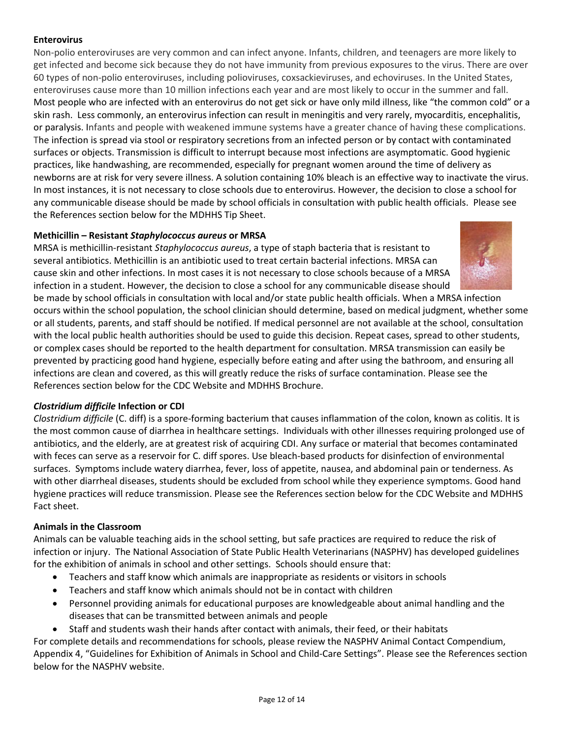## **Enterovirus**

Non-polio enteroviruses are very common and can infect anyone. Infants, children, and teenagers are more likely to get infected and become sick because they do not have immunity from previous exposures to the virus. There are over 60 types of non-polio enteroviruses, including polioviruses, coxsackieviruses, and echoviruses. In the United States, enteroviruses cause more than 10 million infections each year and are most likely to occur in the summer and fall. Most people who are infected with an enterovirus do not get sick or have only mild illness, like "the common cold" or a skin rash. Less commonly, an enterovirus infection can result in meningitis and very rarely, myocarditis, encephalitis, or paralysis. Infants and people with weakened immune systems have a greater chance of having these complications. The infection is spread via stool or respiratory secretions from an infected person or by contact with contaminated surfaces or objects. Transmission is difficult to interrupt because most infections are asymptomatic. Good hygienic practices, like handwashing, are recommended, especially for pregnant women around the time of delivery as newborns are at risk for very severe illness. A solution containing 10% bleach is an effective way to inactivate the virus. In most instances, it is not necessary to close schools due to enterovirus. However, the decision to close a school for any communicable disease should be made by school officials in consultation with public health officials. Please see the References section below for the MDHHS Tip Sheet.

## **Methicillin – Resistant** *Staphylococcus aureus* **or MRSA**

MRSA is methicillin-resistant *Staphylococcus aureus*, a type of staph bacteria that is resistant to several antibiotics. Methicillin is an antibiotic used to treat certain bacterial infections. MRSA can cause skin and other infections. In most cases it is not necessary to close schools because of a MRSA infection in a student. However, the decision to close a school for any communicable disease should



be made by school officials in consultation with local and/or state public health officials. When a MRSA infection occurs within the school population, the school clinician should determine, based on medical judgment, whether some or all students, parents, and staff should be notified. If medical personnel are not available at the school, consultation with the local public health authorities should be used to guide this decision. Repeat cases, spread to other students, or complex cases should be reported to the health department for consultation. MRSA transmission can easily be prevented by practicing good hand hygiene, especially before eating and after using the bathroom, and ensuring all infections are clean and covered, as this will greatly reduce the risks of surface contamination. Please see the References section below for the CDC Website and MDHHS Brochure.

# *Clostridium difficile* **Infection or CDI**

*Clostridium difficile* (C. diff) is a spore-forming bacterium that causes inflammation of the colon, known as colitis. It is the most common cause of diarrhea in healthcare settings. Individuals with other illnesses requiring prolonged use of antibiotics, and the elderly, are at greatest risk of acquiring CDI. Any surface or material that becomes contaminated with feces can serve as a reservoir for C. diff spores. Use bleach-based products for disinfection of environmental surfaces. Symptoms include watery diarrhea, fever, loss of appetite, nausea, and abdominal pain or tenderness. As with other diarrheal diseases, students should be excluded from school while they experience symptoms. Good hand hygiene practices will reduce transmission. Please see the References section below for the CDC Website and MDHHS Fact sheet.

# **Animals in the Classroom**

Animals can be valuable teaching aids in the school setting, but safe practices are required to reduce the risk of infection or injury. The National Association of State Public Health Veterinarians (NASPHV) has developed guidelines for the exhibition of animals in school and other settings. Schools should ensure that:

- Teachers and staff know which animals are inappropriate as residents or visitors in schools
- Teachers and staff know which animals should not be in contact with children
- Personnel providing animals for educational purposes are knowledgeable about animal handling and the diseases that can be transmitted between animals and people
- Staff and students wash their hands after contact with animals, their feed, or their habitats

For complete details and recommendations for schools, please review the NASPHV Animal Contact Compendium, Appendix 4, "Guidelines for Exhibition of Animals in School and Child-Care Settings". Please see the References section below for the NASPHV website.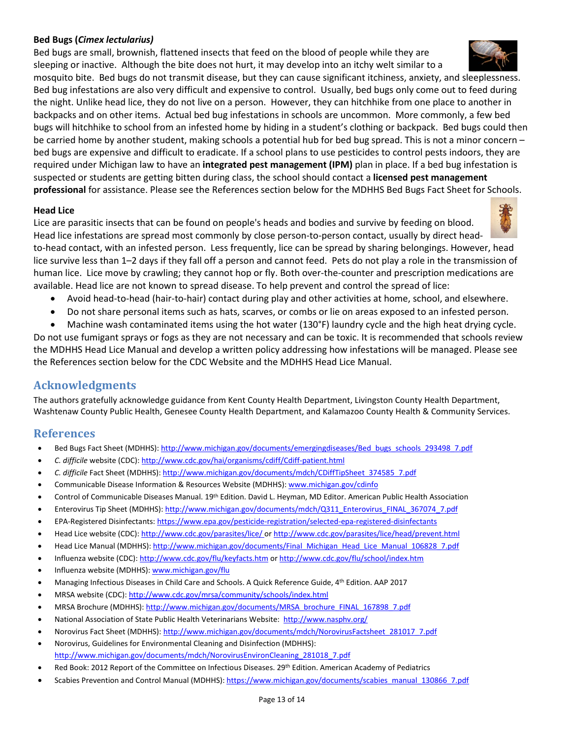## **Bed Bugs (***Cimex lectularius)*

Bed bugs are small, brownish, flattened insects that feed on the blood of people while they are sleeping or inactive. Although the bite does not hurt, it may develop into an itchy welt similar to a

mosquito bite. Bed bugs do not transmit disease, but they can cause significant itchiness, anxiety, and sleeplessness. Bed bug infestations are also very difficult and expensive to control. Usually, bed bugs only come out to feed during the night. Unlike head lice, they do not live on a person. However, they can hitchhike from one place to another in backpacks and on other items. Actual bed bug infestations in schools are uncommon. More commonly, a few bed bugs will hitchhike to school from an infested home by hiding in a student's clothing or backpack. Bed bugs could then be carried home by another student, making schools a potential hub for bed bug spread. This is not a minor concern – bed bugs are expensive and difficult to eradicate. If a school plans to use pesticides to control pests indoors, they are required under Michigan law to have an **integrated pest management (IPM)** plan in place. If a bed bug infestation is suspected or students are getting bitten during class, the school should contact a **licensed pest management professional** for assistance. Please see the References section below for the MDHHS Bed Bugs Fact Sheet for Schools.

## **Head Lice**

Lice are parasitic insects that can be found on people's heads and bodies and survive by feeding on blood. Head lice infestations are spread most commonly by close person-to-person contact, usually by direct head-

to-head contact, with an infested person. Less frequently, lice can be spread by sharing belongings. However, head lice survive less than 1–2 days if they fall off a person and cannot feed. Pets do not play a role in the transmission of human lice. Lice move by crawling; they cannot hop or fly. Both over-the-counter and prescription medications are available. Head lice are not known to spread disease. To help prevent and control the spread of lice:

- Avoid head-to-head (hair-to-hair) contact during play and other activities at home, school, and elsewhere.
- Do not share personal items such as hats, scarves, or combs or lie on areas exposed to an infested person.
- Machine wash contaminated items using the hot water (130°F) laundry cycle and the high heat drying cycle.

Do not use fumigant sprays or fogs as they are not necessary and can be toxic. It is recommended that schools review the MDHHS Head Lice Manual and develop a written policy addressing how infestations will be managed. Please see the References section below for the CDC Website and the MDHHS Head Lice Manual.

# **Acknowledgments**

The authors gratefully acknowledge guidance from Kent County Health Department, Livingston County Health Department, Washtenaw County Public Health, Genesee County Health Department, and Kalamazoo County Health & Community Services.

# **References**

- Bed Bugs Fact Sheet (MDHHS)[: http://www.michigan.gov/documents/emergingdiseases/Bed\\_bugs\\_schools\\_293498\\_7.pdf](http://www.michigan.gov/documents/emergingdiseases/Bed_bugs_schools_293498_7.pdf)
- *C. difficile* website (CDC):<http://www.cdc.gov/hai/organisms/cdiff/Cdiff-patient.html>
- *C. difficile* Fact Sheet (MDHHS): http://www.michigan.gov/documents/mdch/CDiffTipSheet 374585 7.pdf
- Communicable Disease Information & Resources Website (MDHHS)[: www.michigan.gov/cdinfo](http://www.michigan.gov/cdinfo)
- Control of Communicable Diseases Manual. 19th Edition. David L. Heyman, MD Editor. American Public Health Association
- Enterovirus Tip Sheet (MDHHS)[: http://www.michigan.gov/documents/mdch/Q311\\_Enterovirus\\_FINAL\\_367074\\_7.pdf](http://www.michigan.gov/documents/mdch/Q311_Enterovirus_FINAL_367074_7.pdf)
- EPA-Registered Disinfectants[: https://www.epa.gov/pesticide-registration/selected-epa-registered-disinfectants](https://www.epa.gov/pesticide-registration/selected-epa-registered-disinfectants)
- Head Lice website (CDC)[: http://www.cdc.gov/parasites/lice/](http://www.cdc.gov/parasites/lice/) o[r http://www.cdc.gov/parasites/lice/head/prevent.html](http://www.cdc.gov/parasites/lice/head/prevent.html)
- Head Lice Manual (MDHHS)[: http://www.michigan.gov/documents/Final\\_Michigan\\_Head\\_Lice\\_Manual\\_106828\\_7.pdf](http://www.michigan.gov/documents/Final_Michigan_Head_Lice_Manual_106828_7.pdf)
- Influenza website (CDC):<http://www.cdc.gov/flu/keyfacts.htm> o[r http://www.cdc.gov/flu/school/index.htm](http://www.cdc.gov/flu/school/index.htm)
- Influenza website (MDHHS)[: www.michigan.gov/flu](http://www.michigan.gov/flu)
- Managing Infectious Diseases in Child Care and Schools. A Quick Reference Guide, 4th Edition. AAP 2017
- MRSA website (CDC)[: http://www.cdc.gov/mrsa/community/schools/index.html](http://www.cdc.gov/mrsa/community/schools/index.html)
- MRSA Brochure (MDHHS)[: http://www.michigan.gov/documents/MRSA\\_brochure\\_FINAL\\_167898\\_7.pdf](http://www.michigan.gov/documents/MRSA_brochure_FINAL_167898_7.pdf)
- National Association of State Public Health Veterinarians Website: <http://www.nasphv.org/>
- Norovirus Fact Sheet (MDHHS)[: http://www.michigan.gov/documents/mdch/NorovirusFactsheet\\_281017\\_7.pdf](http://www.michigan.gov/documents/mdch/NorovirusFactsheet_281017_7.pdf)
- Norovirus, Guidelines for Environmental Cleaning and Disinfection (MDHHS): [http://www.michigan.gov/documents/mdch/NorovirusEnvironCleaning\\_281018\\_7.pdf](http://www.michigan.gov/documents/mdch/NorovirusEnvironCleaning_281018_7.pdf)
- Red Book: 2012 Report of the Committee on Infectious Diseases. 29th Edition. American Academy of Pediatrics
- Scabies Prevention and Control Manual (MDHHS)[: https://www.michigan.gov/documents/scabies\\_manual\\_130866\\_7.pdf](https://www.michigan.gov/documents/scabies_manual_130866_7.pdf)